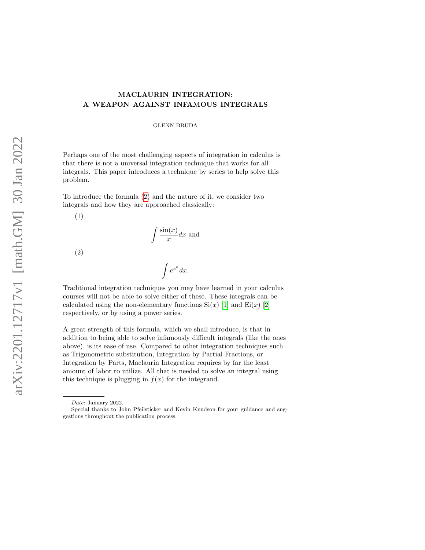## MACLAURIN INTEGRATION: A WEAPON AGAINST INFAMOUS INTEGRALS

GLENN BRUDA

Perhaps one of the most challenging aspects of integration in calculus is that there is not a universal integration technique that works for all integrals. This paper introduces a technique by series to help solve this problem.

To introduce the formula [\(2\)](#page-4-0) and the nature of it, we consider two integrals and how they are approached classically:

(1)

$$
\int \frac{\sin(x)}{x} dx
$$
 and

 $\int e^{e^x} dx$ .

(2)

Traditional integration techniques you may have learned in your calculus courses will not be able to solve either of these. These integrals can be calculated using the non-elementary functions  $\mathrm{Si}(x)$  [\[1\]](#page-10-0) and  $\mathrm{Ei}(x)$  [\[2\]](#page-10-1) respectively, or by using a power series.

A great strength of this formula, which we shall introduce, is that in addition to being able to solve infamously difficult integrals (like the ones above), is its ease of use. Compared to other integration techniques such as Trigonometric substitution, Integration by Partial Fractions, or Integration by Parts, Maclaurin Integration requires by far the least amount of labor to utilize. All that is needed to solve an integral using this technique is plugging in  $f(x)$  for the integrand.

Date: January 2022.

Special thanks to John Pfeilsticker and Kevin Knudson for your guidance and suggestions throughout the publication process.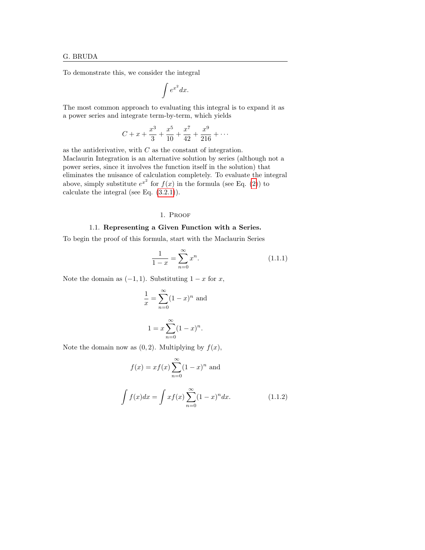To demonstrate this, we consider the integral

$$
\int e^{x^2} dx.
$$

The most common approach to evaluating this integral is to expand it as a power series and integrate term-by-term, which yields

$$
C + x + \frac{x^3}{3} + \frac{x^5}{10} + \frac{x^7}{42} + \frac{x^9}{216} + \cdots
$$

as the antiderivative, with  $C$  as the constant of integration. Maclaurin Integration is an alternative solution by series (although not a power series, since it involves the function itself in the solution) that eliminates the nuisance of calculation completely. To evaluate the integral above, simply substitute  $e^{x^2}$  for  $f(x)$  in the formula (see Eq. [\(2\)](#page-4-0)) to calculate the integral (see Eq.  $(3.2.1)$ ).

## 1. Proof

#### 1.1. Representing a Given Function with a Series.

To begin the proof of this formula, start with the Maclaurin Series

$$
\frac{1}{1-x} = \sum_{n=0}^{\infty} x^n.
$$
\n(1.1.1)

Note the domain as  $(-1, 1)$ . Substituting  $1 - x$  for x,

$$
\frac{1}{x} = \sum_{n=0}^{\infty} (1 - x)^n
$$
 and  

$$
1 = x \sum_{n=0}^{\infty} (1 - x)^n.
$$

Note the domain now as  $(0, 2)$ . Multiplying by  $f(x)$ ,

<span id="page-1-0"></span>
$$
f(x) = xf(x) \sum_{n=0}^{\infty} (1-x)^n
$$
 and  

$$
\int f(x)dx = \int xf(x) \sum_{n=0}^{\infty} (1-x)^n dx.
$$
 (1.1.2)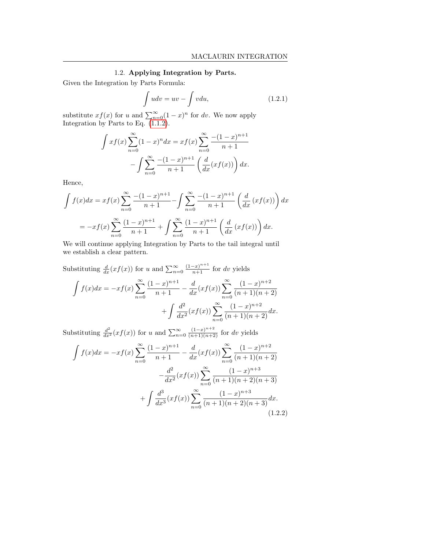## 1.2. Applying Integration by Parts.

Given the Integration by Parts Formula:

$$
\int u dv = uv - \int v du,
$$
\n(1.2.1)

substitute  $xf(x)$  for u and  $\sum_{n=0}^{\infty} (1-x)^n$  for dv. We now apply Integration by Parts to Eq. [\(1.1.2\)](#page-1-0).

$$
\int xf(x) \sum_{n=0}^{\infty} (1-x)^n dx = xf(x) \sum_{n=0}^{\infty} \frac{-(1-x)^{n+1}}{n+1} - \int \sum_{n=0}^{\infty} \frac{-(1-x)^{n+1}}{n+1} \left(\frac{d}{dx}(xf(x))\right) dx.
$$

Hence,

$$
\int f(x)dx = xf(x)\sum_{n=0}^{\infty} \frac{-(1-x)^{n+1}}{n+1} - \int \sum_{n=0}^{\infty} \frac{-(1-x)^{n+1}}{n+1} \left(\frac{d}{dx}(xf(x))\right)dx
$$

$$
= -xf(x)\sum_{n=0}^{\infty} \frac{(1-x)^{n+1}}{n+1} + \int \sum_{n=0}^{\infty} \frac{(1-x)^{n+1}}{n+1} \left(\frac{d}{dx}(xf(x))\right)dx.
$$

We will continue applying Integration by Parts to the tail integral until we establish a clear pattern.

Substituting  $\frac{d}{dx}(xf(x))$  for u and  $\sum_{n=0}^{\infty} \frac{(1-x)^{n+1}}{n+1}$  for dv yields  $\int f(x)dx = -xf(x)\sum^{\infty}$  $n=0$  $(1-x)^{n+1}$  $\frac{(-x)^{n+1}}{n+1} - \frac{d}{dx}(xf(x))\sum_{n=0}^{\infty}$  $(1-x)^{n+2}$  $(n+1)(n+2)$  $+\int \frac{d^2}{4}$  $\frac{d^2}{dx^2}(xf(x))\sum_{x=0}^{\infty}$  $n=0$  $(1-x)^{n+2}$  $\frac{(1 + x)}{(n + 1)(n + 2)}dx.$ 

Substituting  $\frac{d^2}{dx^2}(xf(x))$  for u and  $\sum_{n=0}^{\infty} \frac{(1-x)^{n+2}}{(n+1)(n+2)}$  for dv yields

$$
\int f(x)dx = -xf(x)\sum_{n=0}^{\infty} \frac{(1-x)^{n+1}}{n+1} - \frac{d}{dx}(xf(x))\sum_{n=0}^{\infty} \frac{(1-x)^{n+2}}{(n+1)(n+2)} -\frac{d^2}{dx^2}(xf(x))\sum_{n=0}^{\infty} \frac{(1-x)^{n+3}}{(n+1)(n+2)(n+3)} + \int \frac{d^3}{dx^3}(xf(x))\sum_{n=0}^{\infty} \frac{(1-x)^{n+3}}{(n+1)(n+2)(n+3)}dx.
$$
\n(1.2.2)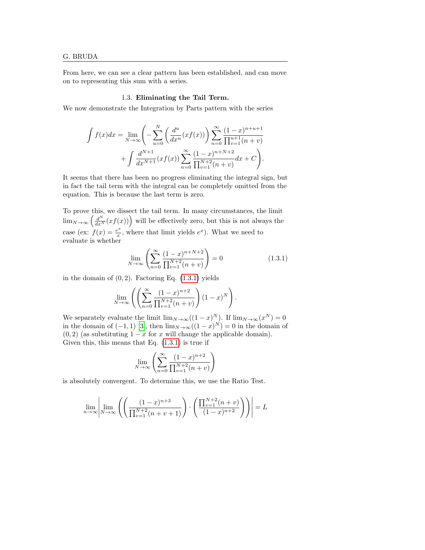From here, we can see a clear pattern has been established, and can move on to representing this sum with a series.

### 1.3. Eliminating the Tail Term.

We now demonstrate the Integration by Parts pattern with the series

$$
\int f(x)dx = \lim_{N \to \infty} \left( -\sum_{u=0}^{N} \left( \frac{d^u}{dx^u} (xf(x)) \right) \sum_{n=0}^{\infty} \frac{(1-x)^{n+u+1}}{\prod_{v=1}^{u+1} (n+v)} + \int \frac{d^{N+1}}{dx^{N+1}} (xf(x)) \sum_{n=0}^{\infty} \frac{(1-x)^{n+N+2}}{\prod_{v=1}^{N+2} (n+v)} dx + C \right).
$$

It seems that there has been no progress eliminating the integral sign, but in fact the tail term with the integral can be completely omitted from the equation. This is because the last term is zero.

To prove this, we dissect the tail term. In many circumstances, the limit  $\lim_{N\to\infty}\left(\frac{d^N}{dx^N}(xf(x))\right)$  will be effectively zero, but this is not always the case (ex:  $f(x) = \frac{e^x}{x}$  $\frac{e^{x}}{x}$ , where that limit yields  $e^{x}$ ). What we need to evaluate is whether

<span id="page-3-0"></span>
$$
\lim_{N \to \infty} \left( \sum_{n=0}^{\infty} \frac{(1-x)^{n+N+2}}{\prod_{v=1}^{N+2} (n+v)} \right) = 0 \tag{1.3.1}
$$

in the domain of  $(0, 2)$ . Factoring Eq.  $(1.3.1)$  yields

$$
\lim_{N \to \infty} \left( \left( \sum_{n=0}^{\infty} \frac{(1-x)^{n+2}}{\prod_{v=1}^{N+2} (n+v)} \right) (1-x)^N \right).
$$

We separately evaluate the limit  $\lim_{N\to\infty}((1-x)^N)$ . If  $\lim_{N\to\infty}(x^N)=0$ in the domain of  $(-1,1)$  [\[3\]](#page-10-2), then  $\lim_{N\to\infty}((1-x)^N)=0$  in the domain of  $(0, 2)$  (as substituting  $1 - x$  for x will change the applicable domain). Given this, this means that Eq.  $(1.3.1)$  is true if

$$
\lim_{N \to \infty} \left( \sum_{n=0}^{\infty} \frac{(1-x)^{n+2}}{\prod_{v=1}^{N+2} (n+v)} \right)
$$

is absolutely convergent. To determine this, we use the Ratio Test.

$$
\lim_{n \to \infty} \left| \lim_{N \to \infty} \left( \left( \frac{(1-x)^{n+3}}{\prod_{v=1}^{N+2} (n+v+1)} \right) \cdot \left( \frac{\prod_{v=1}^{N+2} (n+v)}{(1-x)^{n+2}} \right) \right) \right| = L
$$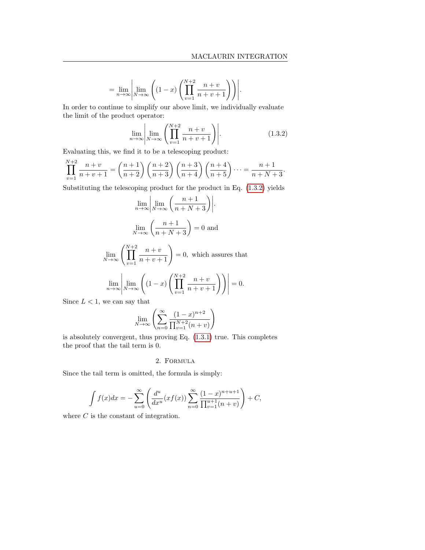= 0.

$$
= \lim_{n \to \infty} \left| \lim_{N \to \infty} \left( (1-x) \left( \prod_{v=1}^{N+2} \frac{n+v}{n+v+1} \right) \right) \right|.
$$

In order to continue to simplify our above limit, we individually evaluate the limit of the product operator:

<span id="page-4-1"></span>
$$
\lim_{n \to \infty} \left| \lim_{N \to \infty} \left( \prod_{v=1}^{N+2} \frac{n+v}{n+v+1} \right) \right|.
$$
 (1.3.2)

Evaluating this, we find it to be a telescoping product:

$$
\prod_{v=1}^{N+2} \frac{n+v}{n+v+1} = \left(\frac{n+1}{n+2}\right) \left(\frac{n+2}{n+3}\right) \left(\frac{n+3}{n+4}\right) \left(\frac{n+4}{n+5}\right) \dots = \frac{n+1}{n+N+3}.
$$

Substituting the telescoping product for the product in Eq. [\(1.3.2\)](#page-4-1) yields

$$
\lim_{n \to \infty} \left| \lim_{N \to \infty} \left( \frac{n+1}{n+N+3} \right) \right|.
$$
  

$$
\lim_{N \to \infty} \left( \frac{n+1}{n+N+3} \right) = 0 \text{ and}
$$
  

$$
\lim_{N \to \infty} \left( \prod_{v=1}^{N+2} \frac{n+v}{n+v+1} \right) = 0, \text{ which assures that}
$$
  

$$
\lim_{n \to \infty} \left| \lim_{N \to \infty} \left( (1-x) \left( \prod_{v=1}^{N+2} \frac{n+v}{n+v+1} \right) \right) \right| = 0.
$$

Since  $L < 1$ , we can say that

$$
\lim_{N \to \infty} \left( \sum_{n=0}^{\infty} \frac{(1-x)^{n+2}}{\prod_{v=1}^{N+2} (n+v)} \right)
$$

 $v=1$ 

is absolutely convergent, thus proving Eq. [\(1.3.1\)](#page-3-0) true. This completes the proof that the tail term is 0.

#### 2. Formula

<span id="page-4-0"></span>Since the tail term is omitted, the formula is simply:

$$
\int f(x)dx = -\sum_{u=0}^{\infty} \left( \frac{d^u}{dx^u} (xf(x)) \sum_{n=0}^{\infty} \frac{(1-x)^{n+u+1}}{\prod_{v=1}^{u+1} (n+v)} \right) + C,
$$

where  $C$  is the constant of integration.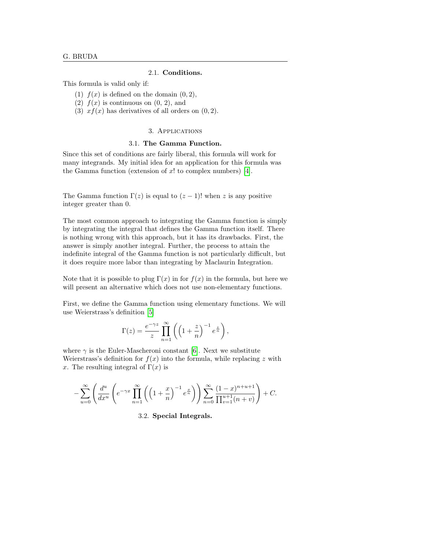#### 2.1. Conditions.

<span id="page-5-0"></span>This formula is valid only if:

- (1)  $f(x)$  is defined on the domain  $(0, 2)$ ,
- (2)  $f(x)$  is continuous on  $(0, 2)$ , and
- (3)  $xf(x)$  has derivatives of all orders on  $(0, 2)$ .

### 3. Applications

#### 3.1. The Gamma Function.

Since this set of conditions are fairly liberal, this formula will work for many integrands. My initial idea for an application for this formula was the Gamma function (extension of  $x!$  to complex numbers) [\[4\]](#page-10-3).

The Gamma function  $\Gamma(z)$  is equal to  $(z - 1)!$  when z is any positive integer greater than 0.

The most common approach to integrating the Gamma function is simply by integrating the integral that defines the Gamma function itself. There is nothing wrong with this approach, but it has its drawbacks. First, the answer is simply another integral. Further, the process to attain the indefinite integral of the Gamma function is not particularly difficult, but it does require more labor than integrating by Maclaurin Integration.

Note that it is possible to plug  $\Gamma(x)$  in for  $f(x)$  in the formula, but here we will present an alternative which does not use non-elementary functions.

First, we define the Gamma function using elementary functions. We will use Weierstrass's definition [\[5\]](#page-10-4)

$$
\Gamma(z) = \frac{e^{-\gamma z}}{z} \prod_{n=1}^{\infty} \left( \left( 1 + \frac{z}{n} \right)^{-1} e^{\frac{z}{n}} \right),
$$

where  $\gamma$  is the Euler-Mascheroni constant [\[6\]](#page-10-5). Next we substitute Weierstrass's definition for  $f(x)$  into the formula, while replacing z with x. The resulting integral of  $\Gamma(x)$  is

$$
-\sum_{u=0}^{\infty} \left( \frac{d^u}{dx^u} \left( e^{-\gamma x} \prod_{n=1}^{\infty} \left( \left( 1 + \frac{x}{n} \right)^{-1} e^{\frac{x}{n}} \right) \right) \sum_{n=0}^{\infty} \frac{(1-x)^{n+u+1}}{\prod_{v=1}^{u+1} (n+v)} \right) + C.
$$

3.2. Special Integrals.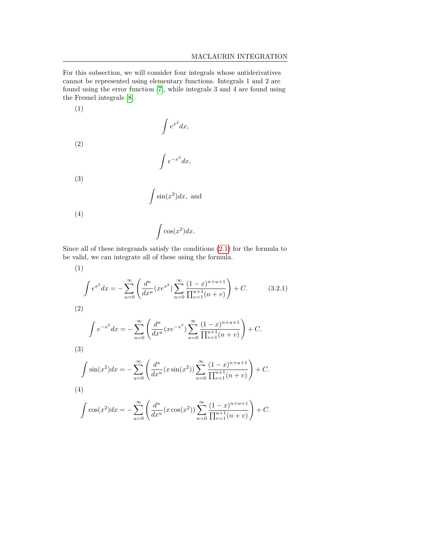For this subsection, we will consider four integrals whose antiderivatives cannot be represented using elementary functions. Integrals 1 and 2 are found using the error function [\[7\]](#page-10-6), while integrals 3 and 4 are found using the Fresnel integrals [\[8\]](#page-10-7).

(1)  
\n
$$
\int e^{x^2} dx,
$$
\n(2)  
\n
$$
\int e^{-x^2} dx,
$$
\n(3)  
\n
$$
\int \sin(x^2) dx,
$$
 and\n(4)  
\n
$$
\int \cos(x^2) dx.
$$

Since all of these integrands satisfy the conditions [\(2.1\)](#page-5-0) for the formula to be valid, we can integrate all of these using the formula.

<span id="page-6-0"></span>(1)  
\n
$$
\int e^{x^2} dx = -\sum_{u=0}^{\infty} \left( \frac{d^u}{dx^u} (xe^{x^2}) \sum_{n=0}^{\infty} \frac{(1-x)^{n+u+1}}{\prod_{v=1}^{u+1} (n+v)} \right) + C.
$$
\n(3.2.1)  
\n(2)  
\n
$$
\int e^{-x^2} dx = -\sum_{u=0}^{\infty} \left( \frac{d^u}{dx^u} (xe^{-x^2}) \sum_{n=0}^{\infty} \frac{(1-x)^{n+u+1}}{\prod_{v=1}^{u+1} (n+v)} \right) + C.
$$
\n(3)  
\n
$$
\int \sin(x^2) dx = -\sum_{u=0}^{\infty} \left( \frac{d^u}{dx^u} (x \sin(x^2)) \sum_{n=0}^{\infty} \frac{(1-x)^{n+u+1}}{\prod_{v=1}^{u+1} (n+v)} \right) + C.
$$
\n(4)  
\n
$$
\int \cos(x^2) dx = -\sum_{u=0}^{\infty} \left( \frac{d^u}{dx^u} (x \cos(x^2)) \sum_{n=0}^{\infty} \frac{(1-x)^{n+u+1}}{\prod_{v=1}^{u+1} (n+v)} \right) + C.
$$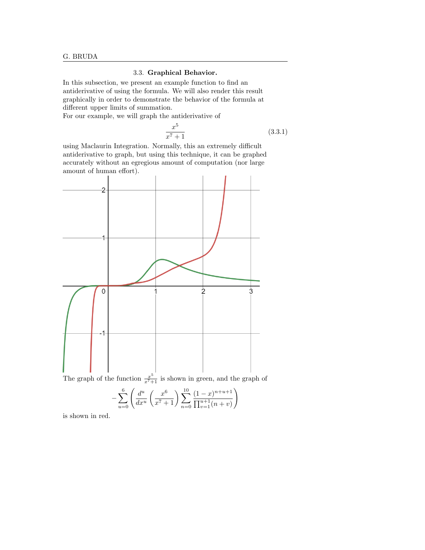# 3.3. Graphical Behavior.

In this subsection, we present an example function to find an antiderivative of using the formula. We will also render this result graphically in order to demonstrate the behavior of the formula at different upper limits of summation.

For our example, we will graph the antiderivative of

<span id="page-7-0"></span>
$$
\frac{x^5}{x^7 + 1} \tag{3.3.1}
$$

using Maclaurin Integration. Normally, this an extremely difficult antiderivative to graph, but using this technique, it can be graphed accurately without an egregious amount of computation (nor large amount of human effort).



$$
x^{i+1}
$$
 is shown in Section, and the graph  

$$
\frac{6}{x^{i+1}} \left( \frac{d^u}{dx^0} + \frac{x^6}{x^6} \right) = \frac{10}{(1-x)^{n+u+1}}
$$

$$
-\sum_{u=0}^{6} \left( \frac{d^u}{dx^u} \left( \frac{x^6}{x^7+1} \right) \sum_{n=0}^{10} \frac{(1-x)^{n+u+1}}{\prod_{v=1}^{u+1} (n+v)} \right)
$$

is shown in red.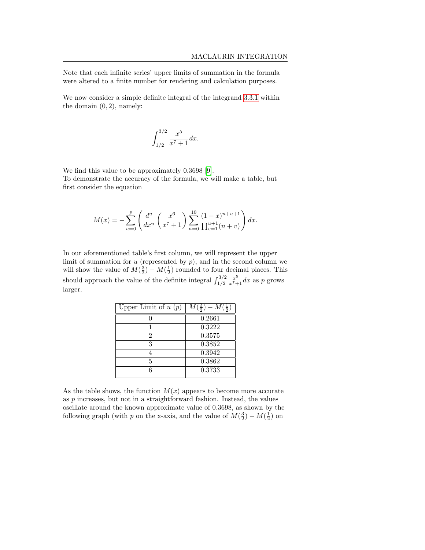Note that each infinite series' upper limits of summation in the formula were altered to a finite number for rendering and calculation purposes.

We now consider a simple definite integral of the integrand [3.3.1](#page-7-0) within the domain  $(0, 2)$ , namely:

$$
\int_{1/2}^{3/2} \frac{x^5}{x^7 + 1} dx.
$$

We find this value to be approximately 0.3698 [\[9\]](#page-10-8). To demonstrate the accuracy of the formula, we will make a table, but first consider the equation

$$
M(x) = -\sum_{u=0}^{p} \left( \frac{d^u}{dx^u} \left( \frac{x^6}{x^7 + 1} \right) \sum_{n=0}^{10} \frac{(1-x)^{n+u+1}}{\prod_{v=1}^{u+1} (n+v)} \right) dx.
$$

In our aforementioned table's first column, we will represent the upper limit of summation for  $u$  (represented by  $p$ ), and in the second column we will show the value of  $M(\frac{3}{2}) - M(\frac{1}{2})$  rounded to four decimal places. This should approach the value of the definite integral  $\int_{1/2}^{3/2} \frac{x^5}{x^7+1} dx$  as p grows larger.

| Upper Limit of $u(p)$ | $M(\frac{3}{2})-M(\frac{1}{2})$ |
|-----------------------|---------------------------------|
|                       | 0.2661                          |
|                       | 0.3222                          |
| 2                     | 0.3575                          |
| 3                     | 0.3852                          |
|                       | 0.3942                          |
| 5                     | 0.3862                          |
|                       | 0.3733                          |

As the table shows, the function  $M(x)$  appears to become more accurate as p increases, but not in a straightforward fashion. Instead, the values oscillate around the known approximate value of 0.3698, as shown by the following graph (with p on the x-axis, and the value of  $M(\frac{3}{2}) - M(\frac{1}{2})$  on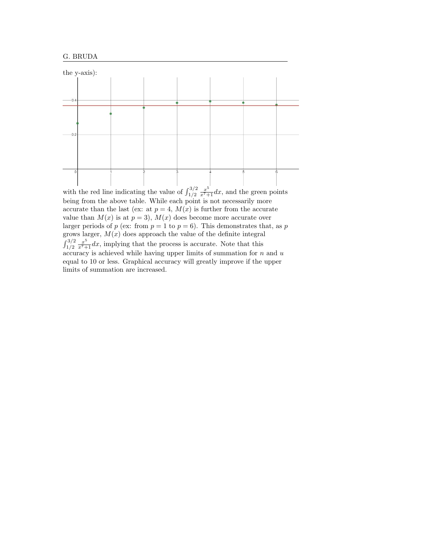

with the red line indicating the value of  $\int_{1/2}^{3/2} \frac{x^5}{x^7+1} dx$ , and the green points being from the above table. While each point is not necessarily more accurate than the last (ex: at  $p = 4$ ,  $M(x)$  is further from the accurate value than  $M(x)$  is at  $p = 3$ ,  $M(x)$  does become more accurate over larger periods of p (ex: from  $p = 1$  to  $p = 6$ ). This demonstrates that, as p grows larger,  $M(x)$  does approach the value of the definite integral  $\int_{1/2}^{3/2} \frac{x^5}{x^7+1} dx$ , implying that the process is accurate. Note that this accuracy is achieved while having upper limits of summation for  $n$  and  $u$ equal to 10 or less. Graphical accuracy will greatly improve if the upper limits of summation are increased.